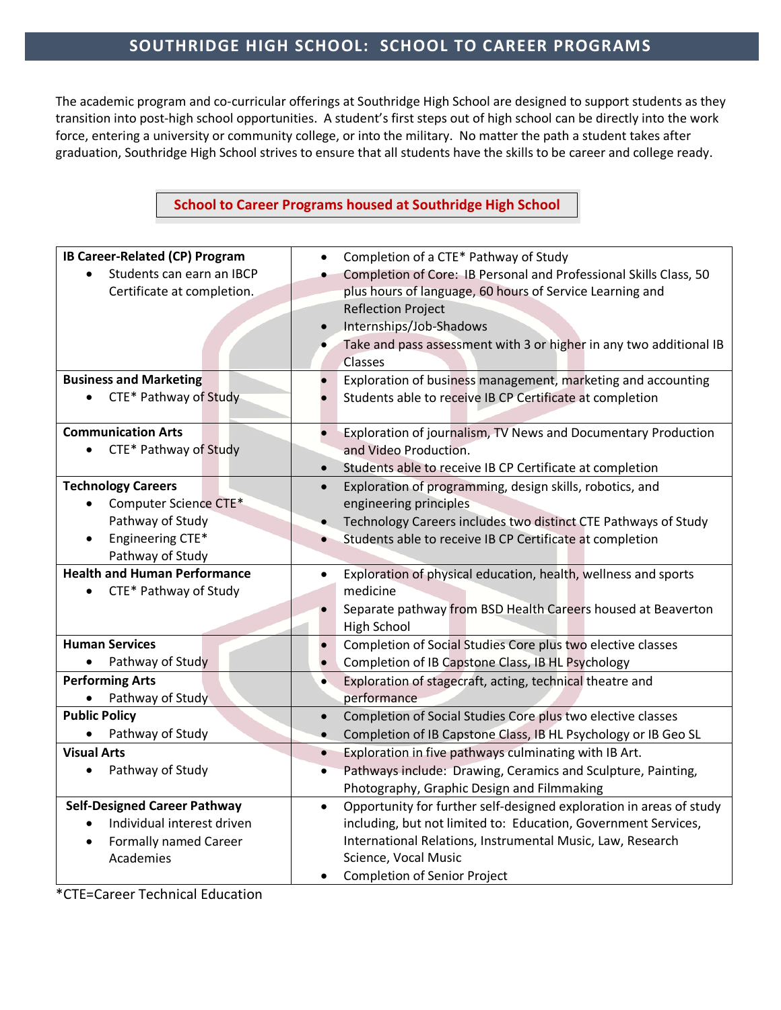## **SOUTHRIDGE HIGH SCHOOL: SCHOOL TO CAREER PROGRAMS**

The academic program and co-curricular offerings at Southridge High School are designed to support students as they transition into post-high school opportunities. A student's first steps out of high school can be directly into the work force, entering a university or community college, or into the military. No matter the path a student takes after graduation, Southridge High School strives to ensure that all students have the skills to be career and college ready.

## **School to Career Programs housed at Southridge High School**

| IB Career-Related (CP) Program            | Completion of a CTE* Pathway of Study<br>$\bullet$                               |
|-------------------------------------------|----------------------------------------------------------------------------------|
| Students can earn an IBCP                 | Completion of Core: IB Personal and Professional Skills Class, 50                |
| Certificate at completion.                | plus hours of language, 60 hours of Service Learning and                         |
|                                           | <b>Reflection Project</b>                                                        |
|                                           | Internships/Job-Shadows<br>$\bullet$                                             |
|                                           | Take and pass assessment with 3 or higher in any two additional IB               |
|                                           | Classes                                                                          |
| <b>Business and Marketing</b>             | Exploration of business management, marketing and accounting<br>$\bullet$        |
| CTE* Pathway of Study<br>$\bullet$        | Students able to receive IB CP Certificate at completion                         |
|                                           |                                                                                  |
| <b>Communication Arts</b>                 | Exploration of journalism, TV News and Documentary Production                    |
| CTE* Pathway of Study<br>$\bullet$        | and Video Production.                                                            |
|                                           | Students able to receive IB CP Certificate at completion<br>$\bullet$            |
| <b>Technology Careers</b>                 | Exploration of programming, design skills, robotics, and<br>$\bullet$            |
| Computer Science CTE*                     | engineering principles                                                           |
| Pathway of Study                          | Technology Careers includes two distinct CTE Pathways of Study<br>$\bullet$      |
| Engineering CTE*                          | Students able to receive IB CP Certificate at completion<br>$\bullet$            |
| Pathway of Study                          |                                                                                  |
| <b>Health and Human Performance</b>       | Exploration of physical education, health, wellness and sports<br>$\bullet$      |
| CTE* Pathway of Study<br>$\bullet$        | medicine                                                                         |
|                                           | Separate pathway from BSD Health Careers housed at Beaverton<br>$\bullet$        |
|                                           | <b>High School</b>                                                               |
| <b>Human Services</b>                     | Completion of Social Studies Core plus two elective classes<br>$\bullet$         |
| Pathway of Study                          | Completion of IB Capstone Class, IB HL Psychology<br>$\bullet$                   |
| <b>Performing Arts</b>                    | Exploration of stagecraft, acting, technical theatre and<br>$\bullet$            |
| Pathway of Study                          | performance                                                                      |
| <b>Public Policy</b>                      | Completion of Social Studies Core plus two elective classes<br>$\bullet$         |
| Pathway of Study                          | Completion of IB Capstone Class, IB HL Psychology or IB Geo SL<br>$\bullet$      |
| <b>Visual Arts</b>                        | Exploration in five pathways culminating with IB Art.<br>$\bullet$               |
| Pathway of Study<br>$\bullet$             | Pathways include: Drawing, Ceramics and Sculpture, Painting,<br>$\bullet$        |
|                                           | Photography, Graphic Design and Filmmaking                                       |
| <b>Self-Designed Career Pathway</b>       | Opportunity for further self-designed exploration in areas of study<br>$\bullet$ |
| Individual interest driven                | including, but not limited to: Education, Government Services,                   |
| <b>Formally named Career</b><br>$\bullet$ | International Relations, Instrumental Music, Law, Research                       |
| Academies                                 | Science, Vocal Music                                                             |
|                                           | <b>Completion of Senior Project</b><br>٠                                         |

\*CTE=Career Technical Education